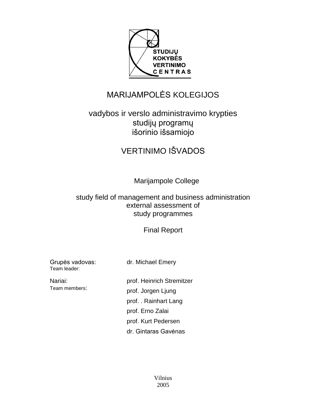

# MARIJAMPOLĖS KOLEGIJOS

# vadybos ir verslo administravimo krypties studijų programų išorinio išsamiojo

# VERTINIMO IŠVADOS

Marijampole College

# study field of management and business administration external assessment of study programmes

Final Report

Grupės vadovas: Team leader:

dr. Michael Emery

Nariai: Team members:

prof. Heinrich Stremitzer prof. Jorgen Ljung prof. . Rainhart Lang prof. Erno Zalai prof. Kurt Pedersen dr. Gintaras Gavėnas

> Vilnius 2005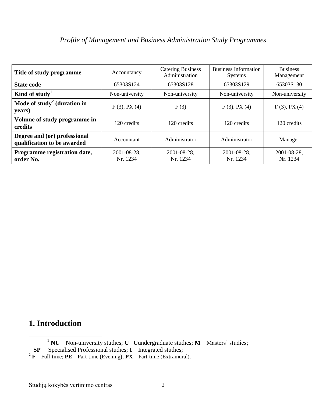| Title of study programme                                    | Accountancy             | <b>Catering Business</b><br>Administration | Business Information<br><b>Systems</b> | <b>Business</b><br>Management |
|-------------------------------------------------------------|-------------------------|--------------------------------------------|----------------------------------------|-------------------------------|
| <b>State code</b>                                           | 65303S124               | 65303S128                                  | 65303S129                              | 65303S130                     |
| Kind of study <sup>1</sup>                                  | Non-university          | Non-university                             | Non-university                         | Non-university                |
| Mode of study <sup>2</sup> (duration in<br>years)           | $F(3)$ , PX $(4)$       | F(3)                                       | $F(3)$ , PX $(4)$                      | $F(3)$ , PX $(4)$             |
| Volume of study programme in<br>credits                     | 120 credits             | 120 credits                                | 120 credits                            | 120 credits                   |
| Degree and (or) professional<br>qualification to be awarded | Accountant              | Administrator                              | Administrator                          | Manager                       |
| Programme registration date,<br>order No.                   | 2001-08-28,<br>Nr. 1234 | 2001-08-28,<br>Nr. 1234                    | 2001-08-28,<br>Nr. 1234                | 2001-08-28,<br>Nr. 1234       |

# **1. Introduction**

 $\overline{a}$ 

<sup>1</sup> **NU** – Non-university studies; **U** –Uundergraduate studies; **M** – Masters' studies;

**SP** – Specialised Professional studies; **I** – Integrated studies;

 $2^2$ **F** – Full-time; **PE** – Part-time (Evening); **PX** – Part-time (Extramural).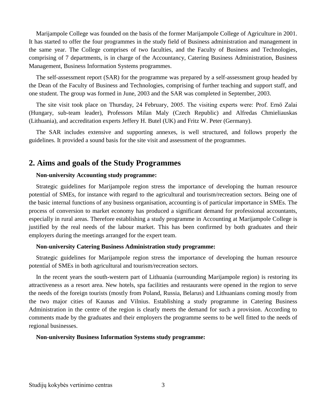Marijampole College was founded on the basis of the former Marijampole College of Agriculture in 2001. It has started to offer the four programmes in the study field of Business administration and management in the same year. The College comprises of two faculties, and the Faculty of Business and Technologies, comprising of 7 departments, is in charge of the Accountancy, Catering Business Administration, Business Management, Business Information Systems programmes.

The self-assessment report (SAR) for the programme was prepared by a self-assessment group headed by the Dean of the Faculty of Business and Technologies, comprising of further teaching and support staff, and one student. The group was formed in June, 2003 and the SAR was completed in September, 2003.

The site visit took place on Thursday, 24 February, 2005. The visiting experts were: Prof. Ernö Zalai (Hungary, sub-team leader), Professors Milan Maly (Czech Republic) and Alfredas Chmieliauskas (Lithuania), and accreditation experts Jeffery H. Butel (UK) and Fritz W. Peter (Germany).

The SAR includes extensive and supporting annexes, is well structured, and follows properly the guidelines. It provided a sound basis for the site visit and assessment of the programmes.

# **2. Aims and goals of the Study Programmes**

### **Non-university Accounting study programme:**

Strategic guidelines for Marijampole region stress the importance of developing the human resource potential of SMEs, for instance with regard to the agricultural and tourism/recreation sectors. Being one of the basic internal functions of any business organisation, accounting is of particular importance in SMEs. The process of conversion to market economy has produced a significant demand for professional accountants, especially in rural areas. Therefore establishing a study programme in Accounting at Marijampole College is justified by the real needs of the labour market. This has been confirmed by both graduates and their employers during the meetings arranged for the expert team.

### **Non-university Catering Business Administration study programme:**

Strategic guidelines for Marijampole region stress the importance of developing the human resource potential of SMEs in both agricultural and tourism/recreation sectors.

In the recent years the south-western part of Lithuania (surrounding Marijampole region) is restoring its attractiveness as a resort area. New hotels, spa facilities and restaurants were opened in the region to serve the needs of the foreign tourists (mostly from Poland, Russia, Belarus) and Lithuanians coming mostly from the two major cities of Kaunas and Vilnius. Establishing a study programme in Catering Business Administration in the centre of the region is clearly meets the demand for such a provision. According to comments made by the graduates and their employers the programme seems to be well fitted to the needs of regional businesses.

### **Non-university Business Information Systems study programme:**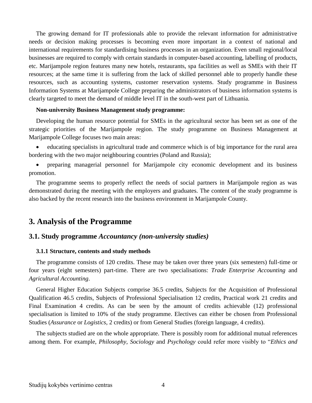The growing demand for IT professionals able to provide the relevant information for administrative needs or decision making processes is becoming even more important in a context of national and international requirements for standardising business processes in an organization. Even small regional/local businesses are required to comply with certain standards in computer-based accounting, labelling of products, etc. Marijampole region features many new hotels, restaurants, spa facilities as well as SMEs with their IT resources; at the same time it is suffering from the lack of skilled personnel able to properly handle these resources, such as accounting systems, customer reservation systems. Study programme in Business Information Systems at Marijampole College preparing the administrators of business information systems is clearly targeted to meet the demand of middle level IT in the south-west part of Lithuania.

#### **Non-university Business Management study programme:**

Developing the human resource potential for SMEs in the agricultural sector has been set as one of the strategic priorities of the Marijampole region. The study programme on Business Management at Marijampole College focuses two main areas:

 educating specialists in agricultural trade and commerce which is of big importance for the rural area bordering with the two major neighbouring countries (Poland and Russia);

 preparing managerial personnel for Marijampole city economic development and its business promotion.

The programme seems to properly reflect the needs of social partners in Marijampole region as was demonstrated during the meeting with the employers and graduates. The content of the study programme is also backed by the recent research into the business environment in Marijampole County.

### **3. Analysis of the Programme**

### **3.1. Study programme** *Accountancy (non-university studies)*

#### **3.1.1 Structure, contents and study methods**

The programme consists of 120 credits. These may be taken over three years (six semesters) full-time or four years (eight semesters) part-time. There are two specialisations: *Trade Enterprise Accounting* and *Agricultural Accounting*.

General Higher Education Subjects comprise 36.5 credits, Subjects for the Acquisition of Professional Qualification 46.5 credits, Subjects of Professional Specialisation 12 credits, Practical work 21 credits and Final Examination 4 credits. As can be seen by the amount of credits achievable (12) professional specialisation is limited to 10% of the study programme. Electives can either be chosen from Professional Studies (*Assurance* or *Logistics*, 2 credits) or from General Studies (foreign language, 4 credits).

The subjects studied are on the whole appropriate. There is possibly room for additional mutual references among them. For example, *Philosophy*, *Sociology* and *Psychology* could refer more visibly to "*Ethics and*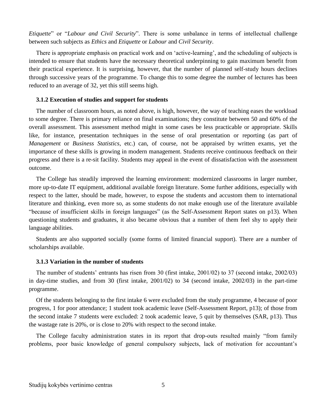*Etiquette*" or "*Labour and Civil Security*". There is some unbalance in terms of intellectual challenge between such subjects as *Ethics* and *Etiquette* or *Labour* and *Civil Security*.

There is appropriate emphasis on practical work and on 'active-learning', and the scheduling of subjects is intended to ensure that students have the necessary theoretical underpinning to gain maximum benefit from their practical experience. It is surprising, however, that the number of planned self-study hours declines through successive years of the programme. To change this to some degree the number of lectures has been reduced to an average of 32, yet this still seems high.

#### **3.1.2 Execution of studies and support for students**

The number of classroom hours, as noted above, is high, however, the way of teaching eases the workload to some degree. There is primary reliance on final examinations; they constitute between 50 and 60% of the overall assessment. This assessment method might in some cases be less practicable or appropriate. Skills like, for instance, presentation techniques in the sense of oral presentation or reporting (as part of *Management* or *Business Statistics*, etc.) can, of course, not be appraised by written exams, yet the importance of these skills is growing in modern management. Students receive continuous feedback on their progress and there is a re-sit facility. Students may appeal in the event of dissatisfaction with the assessment outcome.

The College has steadily improved the learning environment: modernized classrooms in larger number, more up-to-date IT equipment, additional available foreign literature. Some further additions, especially with respect to the latter, should be made, however, to expose the students and accustom them to international literature and thinking, even more so, as some students do not make enough use of the literature available "because of insufficient skills in foreign languages" (as the Self-Assessment Report states on p13). When questioning students and graduates, it also became obvious that a number of them feel shy to apply their language abilities.

Students are also supported socially (some forms of limited financial support). There are a number of scholarships available.

#### **3.1.3 Variation in the number of students**

The number of students' entrants has risen from 30 (first intake, 2001/02) to 37 (second intake, 2002/03) in day-time studies, and from 30 (first intake, 2001/02) to 34 (second intake, 2002/03) in the part-time programme.

Of the students belonging to the first intake 6 were excluded from the study programme, 4 because of poor progress, 1 for poor attendance; 1 student took academic leave (Self-Assessment Report, p13); of those from the second intake 7 students were excluded: 2 took academic leave, 5 quit by themselves (SAR, p13). Thus the wastage rate is 20%, or is close to 20% with respect to the second intake.

The College faculty administration states in its report that drop-outs resulted mainly "from family problems, poor basic knowledge of general compulsory subjects, lack of motivation for accountant's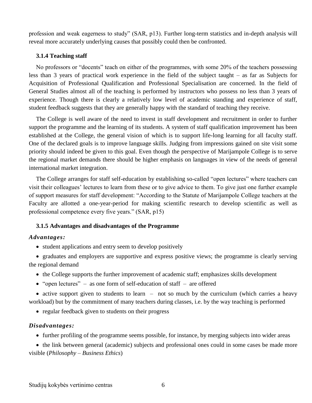profession and weak eagerness to study" (SAR, p13). Further long-term statistics and in-depth analysis will reveal more accurately underlying causes that possibly could then be confronted.

### **3.1.4 Teaching staff**

No professors or "docents" teach on either of the programmes, with some 20% of the teachers possessing less than 3 years of practical work experience in the field of the subject taught – as far as Subjects for Acquisition of Professional Qualification and Professional Specialisation are concerned. In the field of General Studies almost all of the teaching is performed by instructors who possess no less than 3 years of experience. Though there is clearly a relatively low level of academic standing and experience of staff, student feedback suggests that they are generally happy with the standard of teaching they receive.

The College is well aware of the need to invest in staff development and recruitment in order to further support the programme and the learning of its students. A system of staff qualification improvement has been established at the College, the general vision of which is to support life-long learning for all faculty staff. One of the declared goals is to improve language skills. Judging from impressions gained on site visit some priority should indeed be given to this goal. Even though the perspective of Marijampole College is to serve the regional market demands there should be higher emphasis on languages in view of the needs of general international market integration.

The College arranges for staff self-education by establishing so-called "open lectures" where teachers can visit their colleagues' lectures to learn from these or to give advice to them. To give just one further example of support measures for staff development: "According to the Statute of Marijampole College teachers at the Faculty are allotted a one-year-period for making scientific research to develop scientific as well as professional competence every five years." (SAR, p15)

### **3.1.5 Advantages and disadvantages of the Programme**

### *Advantages:*

- student applications and entry seem to develop positively
- graduates and employers are supportive and express positive views; the programme is clearly serving the regional demand
	- the College supports the further improvement of academic staff; emphasizes skills development
	- "open lectures" as one form of self-education of staff are offered

• active support given to students to learn – not so much by the curriculum (which carries a heavy workload) but by the commitment of many teachers during classes, i.e. by the way teaching is performed

• regular feedback given to students on their progress

### *Disadvantages:*

• further profiling of the programme seems possible, for instance, by merging subjects into wider areas

 the link between general (academic) subjects and professional ones could in some cases be made more visible (*Philosophy* – *Business Ethics*)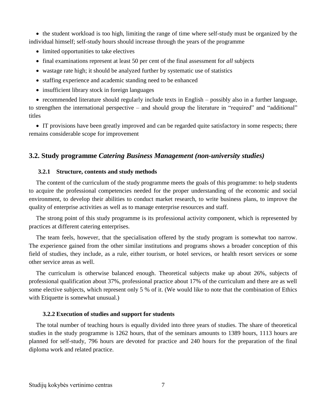• the student workload is too high, limiting the range of time where self-study must be organized by the individual himself; self-study hours should increase through the years of the programme

- limited opportunities to take electives
- final examinations represent at least 50 per cent of the final assessment for *all* subjects
- wastage rate high; it should be analyzed further by systematic use of statistics
- staffing experience and academic standing need to be enhanced
- insufficient library stock in foreign languages

 recommended literature should regularly include texts in English – possibly also in a further language, to strengthen the international perspective – and should group the literature in "required" and "additional" titles

 IT provisions have been greatly improved and can be regarded quite satisfactory in some respects; there remains considerable scope for improvement

### **3.2. Study programme** *Catering Business Management (non-university studies)*

### **3.2.1 Structure, contents and study methods**

The content of the curriculum of the study programme meets the goals of this programme: to help students to acquire the professional competencies needed for the proper understanding of the economic and social environment, to develop their abilities to conduct market research, to write business plans, to improve the quality of enterprise activities as well as to manage enterprise resources and staff.

The strong point of this study programme is its professional activity component, which is represented by practices at different catering enterprises.

The team feels, however, that the specialisation offered by the study program is somewhat too narrow. The experience gained from the other similar institutions and programs shows a broader conception of this field of studies, they include, as a rule, either tourism, or hotel services, or health resort services or some other service areas as well.

The curriculum is otherwise balanced enough. Theoretical subjects make up about 26%, subjects of professional qualification about 37%, professional practice about 17% of the curriculum and there are as well some elective subjects, which represent only 5 % of it. (We would like to note that the combination of Ethics with Etiquette is somewhat unusual.)

#### **3.2.2 Execution of studies and support for students**

The total number of teaching hours is equally divided into three years of studies. The share of theoretical studies in the study programme is 1262 hours, that of the seminars amounts to 1389 hours, 1113 hours are planned for self-study, 796 hours are devoted for practice and 240 hours for the preparation of the final diploma work and related practice.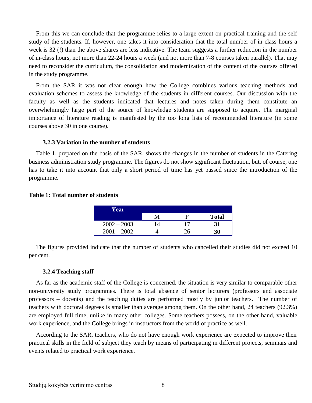From this we can conclude that the programme relies to a large extent on practical training and the self study of the students. If, however, one takes it into consideration that the total number of in class hours a week is 32 (!) than the above shares are less indicative. The team suggests a further reduction in the number of in-class hours, not more than 22-24 hours a week (and not more than 7-8 courses taken parallel). That may need to reconsider the curriculum, the consolidation and modernization of the content of the courses offered in the study programme.

From the SAR it was not clear enough how the College combines various teaching methods and evaluation schemes to assess the knowledge of the students in different courses. Our discussion with the faculty as well as the students indicated that lectures and notes taken during them constitute an overwhelmingly large part of the source of knowledge students are supposed to acquire. The marginal importance of literature reading is manifested by the too long lists of recommended literature (in some courses above 30 in one course).

### **3.2.3 Variation in the number of students**

Table 1, prepared on the basis of the SAR, shows the changes in the number of students in the Catering business administration study programme. The figures do not show significant fluctuation, but, of course, one has to take it into account that only a short period of time has yet passed since the introduction of the programme.

### **Table 1: Total number of students**

| Year          |   |              |
|---------------|---|--------------|
|               | M | <b>Total</b> |
| $2002 - 2003$ |   |              |
| 2002<br>2001  |   | 30           |

The figures provided indicate that the number of students who cancelled their studies did not exceed 10 per cent.

#### **3.2.4 Teaching staff**

As far as the academic staff of the College is concerned, the situation is very similar to comparable other non-university study programmes. There is total absence of senior lecturers (professors and associate professors – docents) and the teaching duties are performed mostly by junior teachers. The number of teachers with doctoral degrees is smaller than average among them. On the other hand, 24 teachers (92.3%) are employed full time, unlike in many other colleges. Some teachers possess, on the other hand, valuable work experience, and the College brings in instructors from the world of practice as well.

According to the SAR, teachers, who do not have enough work experience are expected to improve their practical skills in the field of subject they teach by means of participating in different projects, seminars and events related to practical work experience.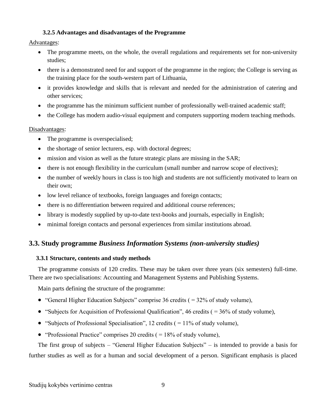### **3.2.5 Advantages and disadvantages of the Programme**

### Advantages:

- The programme meets, on the whole, the overall regulations and requirements set for non-university studies;
- there is a demonstrated need for and support of the programme in the region; the College is serving as the training place for the south-western part of Lithuania,
- it provides knowledge and skills that is relevant and needed for the administration of catering and other services;
- the programme has the minimum sufficient number of professionally well-trained academic staff;
- the College has modern audio-visual equipment and computers supporting modern teaching methods.

### Disadvantages:

- The programme is overspecialised;
- the shortage of senior lecturers, esp. with doctoral degrees;
- mission and vision as well as the future strategic plans are missing in the SAR;
- there is not enough flexibility in the curriculum (small number and narrow scope of electives);
- the number of weekly hours in class is too high and students are not sufficiently motivated to learn on their own;
- low level reliance of textbooks, foreign languages and foreign contacts;
- there is no differentiation between required and additional course references;
- library is modestly supplied by up-to-date text-books and journals, especially in English;
- minimal foreign contacts and personal experiences from similar institutions abroad.

# **3.3. Study programme** *Business Information Systems (non-university studies)*

### **3.3.1 Structure, contents and study methods**

The programme consists of 120 credits. These may be taken over three years (six semesters) full-time. There are two specialisations: Accounting and Management Systems and Publishing Systems.

Main parts defining the structure of the programme:

- "General Higher Education Subjects" comprise 36 credits  $( = 32\%$  of study volume),
- "Subjects for Acquisition of Professional Qualification", 46 credits  $( = 36\%$  of study volume),
- "Subjects of Professional Specialisation", 12 credits  $( = 11\%$  of study volume),
- "Professional Practice" comprises 20 credits  $( = 18\% \text{ of study volume}),$

The first group of subjects – "General Higher Education Subjects" – is intended to provide a basis for further studies as well as for a human and social development of a person. Significant emphasis is placed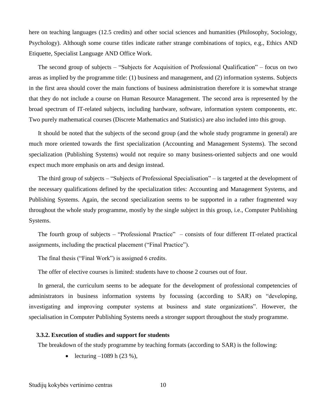here on teaching languages (12.5 credits) and other social sciences and humanities (Philosophy, Sociology, Psychology). Although some course titles indicate rather strange combinations of topics, e.g., Ethics AND Etiquette, Specialist Language AND Office Work.

The second group of subjects – "Subjects for Acquisition of Professional Qualification" – focus on two areas as implied by the programme title: (1) business and management, and (2) information systems. Subjects in the first area should cover the main functions of business administration therefore it is somewhat strange that they do not include a course on Human Resource Management. The second area is represented by the broad spectrum of IT-related subjects, including hardware, software, information system components, etc. Two purely mathematical courses (Discrete Mathematics and Statistics) are also included into this group.

It should be noted that the subjects of the second group (and the whole study programme in general) are much more oriented towards the first specialization (Accounting and Management Systems). The second specialization (Publishing Systems) would not require so many business-oriented subjects and one would expect much more emphasis on arts and design instead.

The third group of subjects – "Subjects of Professional Specialisation" – is targeted at the development of the necessary qualifications defined by the specialization titles: Accounting and Management Systems, and Publishing Systems. Again, the second specialization seems to be supported in a rather fragmented way throughout the whole study programme, mostly by the single subject in this group, i.e., Computer Publishing Systems.

The fourth group of subjects – "Professional Practice" – consists of four different IT-related practical assignments, including the practical placement ("Final Practice").

The final thesis ("Final Work") is assigned 6 credits.

The offer of elective courses is limited: students have to choose 2 courses out of four.

In general, the curriculum seems to be adequate for the development of professional competencies of administrators in business information systems by focussing (according to SAR) on "developing, investigating and improving computer systems at business and state organizations". However, the specialisation in Computer Publishing Systems needs a stronger support throughout the study programme.

### **3.3.2. Execution of studies and support for students**

The breakdown of the study programme by teaching formats (according to SAR) is the following:

• lecturing  $-1089$  h (23 %),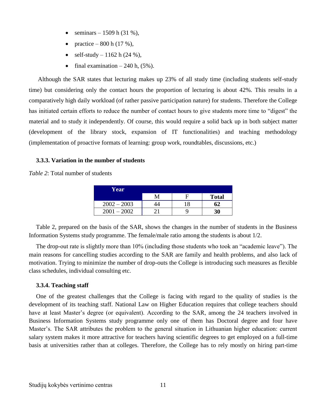- seminars 1509 h (31 %),
- practice 800 h (17 %),
- self-study  $-1162$  h (24 %),
- final examination  $-240$  h,  $(5\%)$ .

Although the SAR states that lecturing makes up 23% of all study time (including students self-study time) but considering only the contact hours the proportion of lecturing is about 42%. This results in a comparatively high daily workload (of rather passive participation nature) for students. Therefore the College has initiated certain efforts to reduce the number of contact hours to give students more time to "digest" the material and to study it independently. Of course, this would require a solid back up in both subject matter (development of the library stock, expansion of IT functionalities) and teaching methodology (implementation of proactive formats of learning: group work, roundtables, discussions, etc.)

### **3.3.3. Variation in the number of students**

*Table 2*: Total number of students

| Year            |   |              |
|-----------------|---|--------------|
|                 | F | <b>Total</b> |
| $2002 - 2003$   |   | 62           |
| $-2002$<br>2001 |   | 30           |

Table 2, prepared on the basis of the SAR, shows the changes in the number of students in the Business Information Systems study programme. The female/male ratio among the students is about 1/2.

The drop-out rate is slightly more than 10% (including those students who took an "academic leave"). The main reasons for cancelling studies according to the SAR are family and health problems, and also lack of motivation. Trying to minimize the number of drop-outs the College is introducing such measures as flexible class schedules, individual consulting etc.

### **3.3.4. Teaching staff**

One of the greatest challenges that the College is facing with regard to the quality of studies is the development of its teaching staff. National Law on Higher Education requires that college teachers should have at least Master's degree (or equivalent). According to the SAR, among the 24 teachers involved in Business Information Systems study programme only one of them has Doctoral degree and four have Master's. The SAR attributes the problem to the general situation in Lithuanian higher education: current salary system makes it more attractive for teachers having scientific degrees to get employed on a full-time basis at universities rather than at colleges. Therefore, the College has to rely mostly on hiring part-time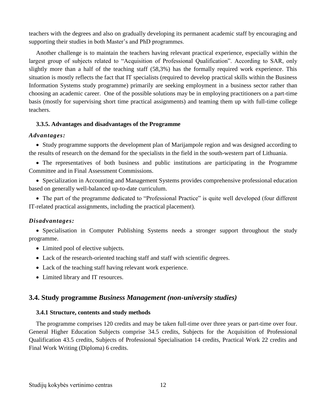teachers with the degrees and also on gradually developing its permanent academic staff by encouraging and supporting their studies in both Master's and PhD programmes.

Another challenge is to maintain the teachers having relevant practical experience, especially within the largest group of subjects related to "Acquisition of Professional Qualification". According to SAR, only slightly more than a half of the teaching staff (58,3%) has the formally required work experience. This situation is mostly reflects the fact that IT specialists (required to develop practical skills within the Business Information Systems study programme) primarily are seeking employment in a business sector rather than choosing an academic career. One of the possible solutions may be in employing practitioners on a part-time basis (mostly for supervising short time practical assignments) and teaming them up with full-time college teachers.

### **3.3.5. Advantages and disadvantages of the Programme**

### *Advantages:*

• Study programme supports the development plan of Marijampole region and was designed according to the results of research on the demand for the specialists in the field in the south-western part of Lithuania.

 The representatives of both business and public institutions are participating in the Programme Committee and in Final Assessment Commissions.

 Specialization in Accounting and Management Systems provides comprehensive professional education based on generally well-balanced up-to-date curriculum.

• The part of the programme dedicated to "Professional Practice" is quite well developed (four different IT-related practical assignments, including the practical placement).

### *Disadvantages:*

• Specialisation in Computer Publishing Systems needs a stronger support throughout the study programme.

- Limited pool of elective subjects.
- Lack of the research-oriented teaching staff and staff with scientific degrees.
- Lack of the teaching staff having relevant work experience.
- Limited library and IT resources.

### **3.4. Study programme** *Business Management (non-university studies)*

### **3.4.1 Structure, contents and study methods**

The programme comprises 120 credits and may be taken full-time over three years or part-time over four. General Higher Education Subjects comprise 34.5 credits, Subjects for the Acquisition of Professional Qualification 43.5 credits, Subjects of Professional Specialisation 14 credits, Practical Work 22 credits and Final Work Writing (Diploma) 6 credits.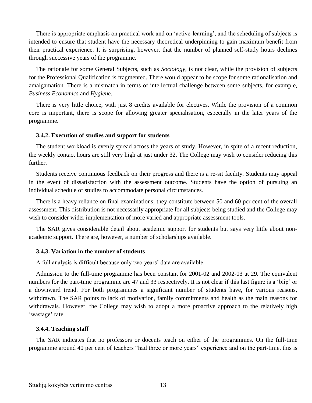There is appropriate emphasis on practical work and on 'active-learning', and the scheduling of subjects is intended to ensure that student have the necessary theoretical underpinning to gain maximum benefit from their practical experience. It is surprising, however, that the number of planned self-study hours declines through successive years of the programme.

The rationale for some General Subjects, such as *Sociology*, is not clear, while the provision of subjects for the Professional Qualification is fragmented. There would appear to be scope for some rationalisation and amalgamation. There is a mismatch in terms of intellectual challenge between some subjects, for example, *Business Economics* and *Hygiene.*

There is very little choice, with just 8 credits available for electives. While the provision of a common core is important, there is scope for allowing greater specialisation, especially in the later years of the programme.

### **3.4.2. Execution of studies and support for students**

The student workload is evenly spread across the years of study. However, in spite of a recent reduction, the weekly contact hours are still very high at just under 32. The College may wish to consider reducing this further.

Students receive continuous feedback on their progress and there is a re-sit facility. Students may appeal in the event of dissatisfaction with the assessment outcome. Students have the option of pursuing an individual schedule of studies to accommodate personal circumstances.

There is a heavy reliance on final examinations; they constitute between 50 and 60 per cent of the overall assessment. This distribution is not necessarily appropriate for all subjects being studied and the College may wish to consider wider implementation of more varied and appropriate assessment tools.

The SAR gives considerable detail about academic support for students but says very little about nonacademic support. There are, however, a number of scholarships available.

### **3.4.3. Variation in the number of students**

A full analysis is difficult because only two years' data are available.

Admission to the full-time programme has been constant for 2001-02 and 2002-03 at 29. The equivalent numbers for the part-time programme are 47 and 33 respectively. It is not clear if this last figure is a 'blip' or a downward trend. For both programmes a significant number of students have, for various reasons, withdrawn. The SAR points to lack of motivation, family commitments and health as the main reasons for withdrawals. However, the College may wish to adopt a more proactive approach to the relatively high 'wastage' rate.

#### **3.4.4. Teaching staff**

The SAR indicates that no professors or docents teach on either of the programmes. On the full-time programme around 40 per cent of teachers "had three or more years" experience and on the part-time, this is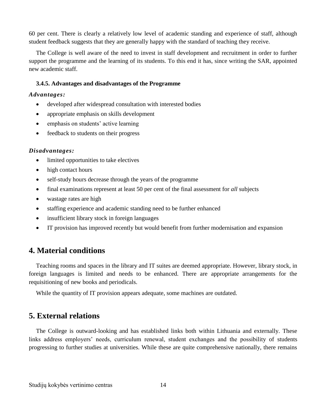60 per cent. There is clearly a relatively low level of academic standing and experience of staff, although student feedback suggests that they are generally happy with the standard of teaching they receive.

The College is well aware of the need to invest in staff development and recruitment in order to further support the programme and the learning of its students. To this end it has, since writing the SAR, appointed new academic staff.

### **3.4.5. Advantages and disadvantages of the Programme**

#### *Advantages:*

- developed after widespread consultation with interested bodies
- appropriate emphasis on skills development
- emphasis on students' active learning
- feedback to students on their progress

### *Disadvantages:*

- limited opportunities to take electives
- high contact hours
- self-study hours decrease through the years of the programme
- final examinations represent at least 50 per cent of the final assessment for *all* subjects
- wastage rates are high
- staffing experience and academic standing need to be further enhanced
- insufficient library stock in foreign languages
- IT provision has improved recently but would benefit from further modernisation and expansion

# **4. Material conditions**

Teaching rooms and spaces in the library and IT suites are deemed appropriate. However, library stock, in foreign languages is limited and needs to be enhanced. There are appropriate arrangements for the requisitioning of new books and periodicals.

While the quantity of IT provision appears adequate, some machines are outdated.

## **5. External relations**

The College is outward-looking and has established links both within Lithuania and externally. These links address employers' needs, curriculum renewal, student exchanges and the possibility of students progressing to further studies at universities. While these are quite comprehensive nationally, there remains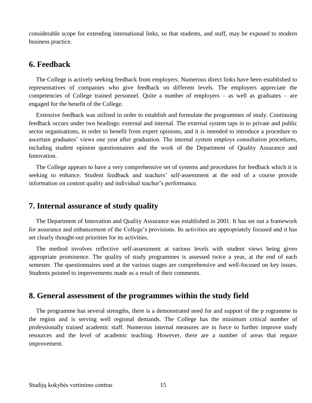considerable scope for extending international links, so that students, and staff, may be exposed to modern business practice.

### **6. Feedback**

The College is actively seeking feedback from employers. Numerous direct links have been established to representatives of companies who give feedback on different levels. The employers appreciate the competencies of College trained personnel. Quite a number of employers – as well as graduates – are engaged for the benefit of the College.

Extensive feedback was utilised in order to establish and formulate the programmes of study. Continuing feedback occurs under two headings: external and internal. The external system taps in to private and public sector organisations, in order to benefit from expert opinions, and it is intended to introduce a procedure to ascertain graduates' views one year after graduation. The internal system employs consultation procedures, including student opinion questionnaires and the work of the Department of Quality Assurance and Innovation.

The College appears to have a very comprehensive set of systems and procedures for feedback which it is seeking to enhance. Student feedback and teachers' self-assessment at the end of a course provide information on content quality and individual teacher's performance.

### **7. Internal assurance of study quality**

The Department of Innovation and Quality Assurance was established in 2001. It has set out a framework for assurance and enhancement of the College's provisions. Its activities are appropriately focused and it has set clearly thought-out priorities for its activities.

The method involves reflective self-assessment at various levels with student views being given appropriate prominence. The quality of study programmes is assessed twice a year, at the end of each semester. The questionnaires used at the various stages are comprehensive and well-focused on key issues. Students pointed to improvements made as a result of their comments.

## **8. General assessment of the programmes within the study field**

The programme has several strengths, there is a demonstrated need for and support of the p rogramme in the region and is serving well regional demands. The College has the minimum critical number of professionally trained academic staff. Numerous internal measures are in force to further improve study resources and the level of academic teaching. However, there are a number of areas that require improvement.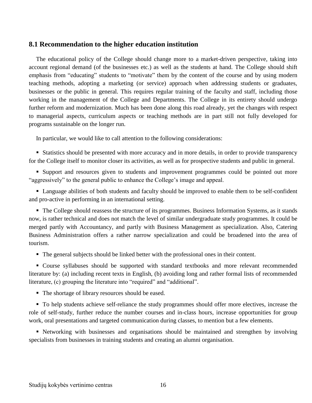### **8.1 Recommendation to the higher education institution**

The educational policy of the College should change more to a market-driven perspective, taking into account regional demand (of the businesses etc.) as well as the students at hand. The College should shift emphasis from "educating" students to "motivate" them by the content of the course and by using modern teaching methods, adopting a marketing (or service) approach when addressing students or graduates, businesses or the public in general. This requires regular training of the faculty and staff, including those working in the management of the College and Departments. The College in its entirety should undergo further reform and modernization. Much has been done along this road already, yet the changes with respect to managerial aspects, curriculum aspects or teaching methods are in part still not fully developed for programs sustainable on the longer run.

In particular, we would like to call attention to the following considerations:

 Statistics should be presented with more accuracy and in more details, in order to provide transparency for the College itself to monitor closer its activities, as well as for prospective students and public in general.

 Support and resources given to students and improvement programmes could be pointed out more "aggressively" to the general public to enhance the College's image and appeal.

 Language abilities of both students and faculty should be improved to enable them to be self-confident and pro-active in performing in an international setting.

 The College should reassess the structure of its programmes. Business Information Systems, as it stands now, is rather technical and does not match the level of similar undergraduate study programmes. It could be merged partly with Accountancy, and partly with Business Management as specialization. Also, Catering Business Administration offers a rather narrow specialization and could be broadened into the area of tourism.

The general subjects should be linked better with the professional ones in their content.

 Course syllabuses should be supported with standard textbooks and more relevant recommended literature by: (a) including recent texts in English, (b) avoiding long and rather formal lists of recommended literature, (c) grouping the literature into "required" and "additional".

■ The shortage of library resources should be eased.

 To help students achieve self-reliance the study programmes should offer more electives, increase the role of self-study, further reduce the number courses and in-class hours, increase opportunities for group work, oral presentations and targeted communication during classes, to mention but a few elements.

 Networking with businesses and organisations should be maintained and strengthen by involving specialists from businesses in training students and creating an alumni organisation.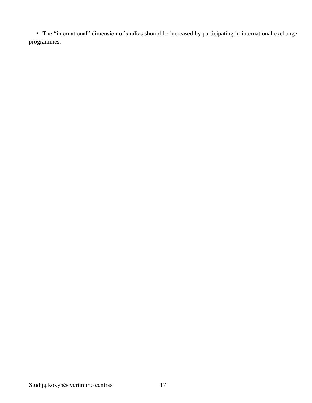The "international" dimension of studies should be increased by participating in international exchange programmes.